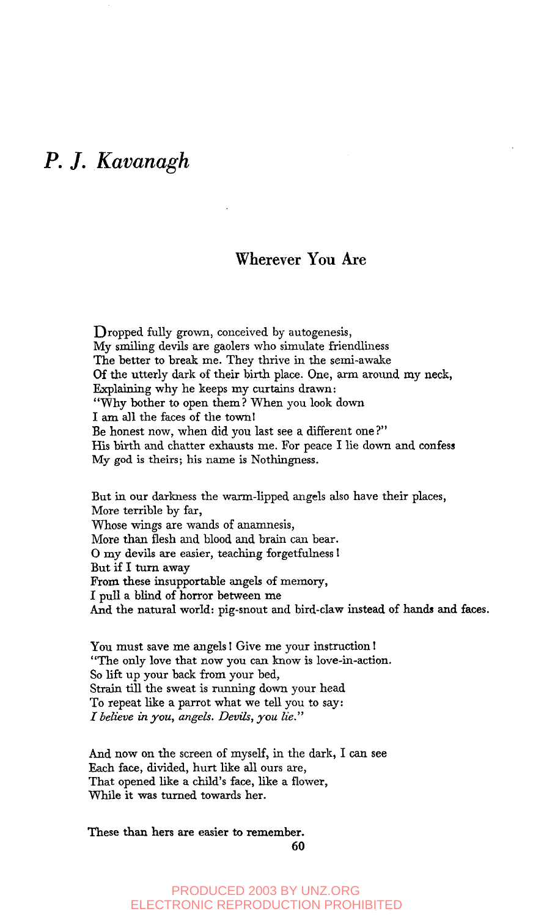## *P. J. Kavanagh*

## **Wherever You Are**

Dropped fully grown, conceived by autogenesis, My smiling devils are gaolers who simulate friendliness The better to break me. They thrive in the semi-awake Of the utterly dark of their birth place. One, arm around my neck, Explaining why he keeps my curtains drawn: "Why bother to open them? When you look down I am all the faces of the townl Be honest now, when did you last see a different one ?" His birth and chatter exhausts me. For peace I lie down and confess My god is theirs; his name is Nothingness.

But in our darkness the warm-llpped angels also have their places, More terrible by far, Whose wings are wands of anamnesis, More than flesh and blood and brain can bear. O my devils are easier, teaching forgetfulness I But if I turn away From these insupportable angels of memory, I pull a blind of horror between me And the natural world: pig-snout and bird-claw instead of hands and faces.

You must save me angels! Give me your instruction! "The only love that now you can know is love-in-action. So lift up your back from your bed, Strain till the sweat is running down your head To repeat like a parrot what we tell you to say: *\_~ believe in you, angels. Devils, you lie."*

And now on the screen of myself, in the dark, I can see Each face, divided, hurt like all ours are, That opened like a child's face, like a flower, While it was turned towards her.

These than hers are easier to remember.

60

PRODUCED 2003 BY UNZ.ORG ELECTRONIC REPRODUCTION PROHIBITED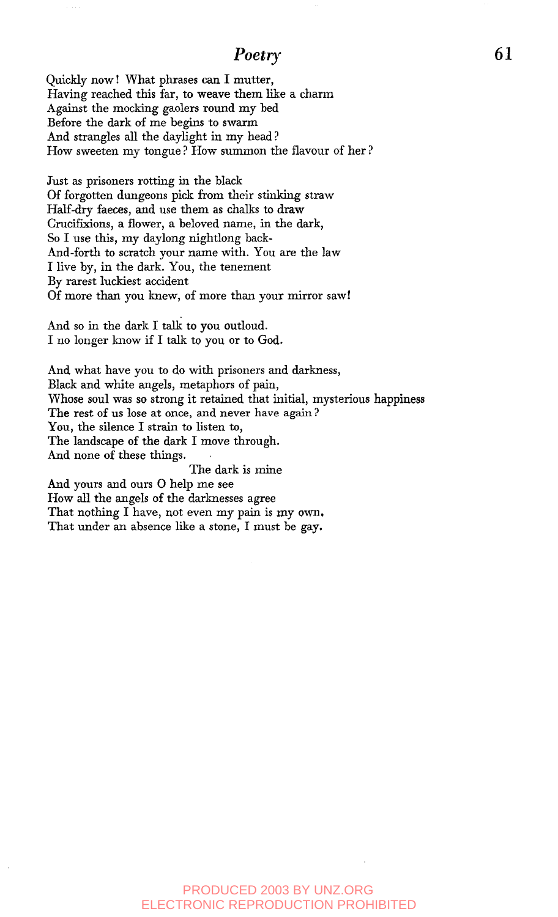## *Poetry*

Quickly mow I What phrases can I mutter, Having reached this far, to weave them like a charm Against the mocking gaolers round my bed Before the dark of me begins to swarm And strangles all the daylight in my head ? How sweeten my tongue? How summon the flavour of her?

Just as prisoners rotting in the black Of forgotten dungeons pick from their stinking straw Half-dry faeces, and use them as chalks to draw Crucifixions, a flower, a beloved name, in the dark, So I use this, my daylong nightlong back-And-forth to scratch your name with. You are the law I live by, in the dark. You, the tenement By rarest luckiest accident Of more than you knew, of more than your mirror sawl

And so in the dark I talk to you outloud. I no longer know if I talk to you or to God.

And what have you to do with prisoners and darkness, Black and white angels, metaphors of pain, Whose soul was so strong it retained that initial, mysterious happiness The rest of us lose at once, and never have again ? You, the silence I strain to listen to, The landscape of the dark I move through. And none of these things. The dark is mine

And yours and ours O help me see How all the angels of the darknesses agree That nothing I have, not even my pain is my own. That under an absence like a stone, I must be gay.